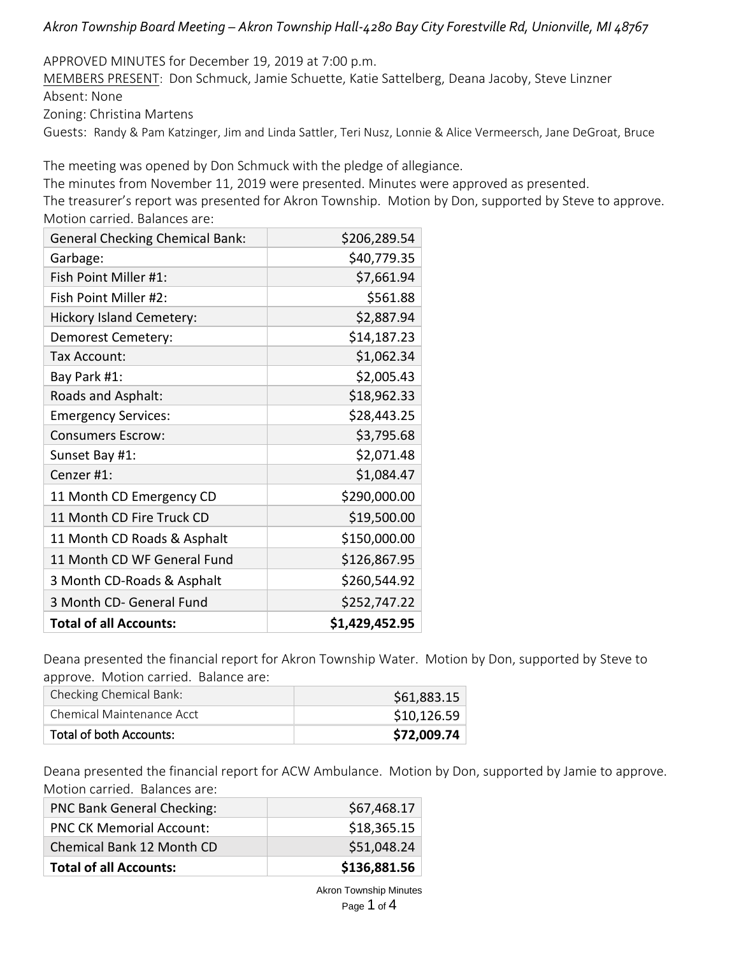# *Akron Township Board Meeting – Akron Township Hall-4280 Bay City Forestville Rd, Unionville, MI 48767*

APPROVED MINUTES for December 19, 2019 at 7:00 p.m.

MEMBERS PRESENT: Don Schmuck, Jamie Schuette, Katie Sattelberg, Deana Jacoby, Steve Linzner Absent: None Zoning: Christina Martens

Guests: Randy & Pam Katzinger, Jim and Linda Sattler, Teri Nusz, Lonnie & Alice Vermeersch, Jane DeGroat, Bruce

The meeting was opened by Don Schmuck with the pledge of allegiance.

The minutes from November 11, 2019 were presented. Minutes were approved as presented.

The treasurer's report was presented for Akron Township. Motion by Don, supported by Steve to approve. Motion carried. Balances are:

| <b>General Checking Chemical Bank:</b> | \$206,289.54   |
|----------------------------------------|----------------|
| Garbage:                               | \$40,779.35    |
| Fish Point Miller #1:                  | \$7,661.94     |
| Fish Point Miller #2:                  | \$561.88       |
| <b>Hickory Island Cemetery:</b>        | \$2,887.94     |
| Demorest Cemetery:                     | \$14,187.23    |
| Tax Account:                           | \$1,062.34     |
| Bay Park #1:                           | \$2,005.43     |
| Roads and Asphalt:                     | \$18,962.33    |
| <b>Emergency Services:</b>             | \$28,443.25    |
| <b>Consumers Escrow:</b>               | \$3,795.68     |
| Sunset Bay #1:                         | \$2,071.48     |
| Cenzer #1:                             | \$1,084.47     |
| 11 Month CD Emergency CD               | \$290,000.00   |
| 11 Month CD Fire Truck CD              | \$19,500.00    |
| 11 Month CD Roads & Asphalt            | \$150,000.00   |
| 11 Month CD WF General Fund            | \$126,867.95   |
| 3 Month CD-Roads & Asphalt             | \$260,544.92   |
| 3 Month CD- General Fund               | \$252,747.22   |
| <b>Total of all Accounts:</b>          | \$1,429,452.95 |

Deana presented the financial report for Akron Township Water. Motion by Don, supported by Steve to approve. Motion carried. Balance are:

| Checking Chemical Bank:   | \$61,883.15 |
|---------------------------|-------------|
| Chemical Maintenance Acct | \$10,126.59 |
| Total of both Accounts:   | \$72,009.74 |

Deana presented the financial report for ACW Ambulance. Motion by Don, supported by Jamie to approve. Motion carried. Balances are:

| <b>PNC Bank General Checking:</b> | \$67,468.17  |
|-----------------------------------|--------------|
| <b>PNC CK Memorial Account:</b>   | \$18,365.15  |
| Chemical Bank 12 Month CD         | \$51,048.24  |
| <b>Total of all Accounts:</b>     | \$136,881.56 |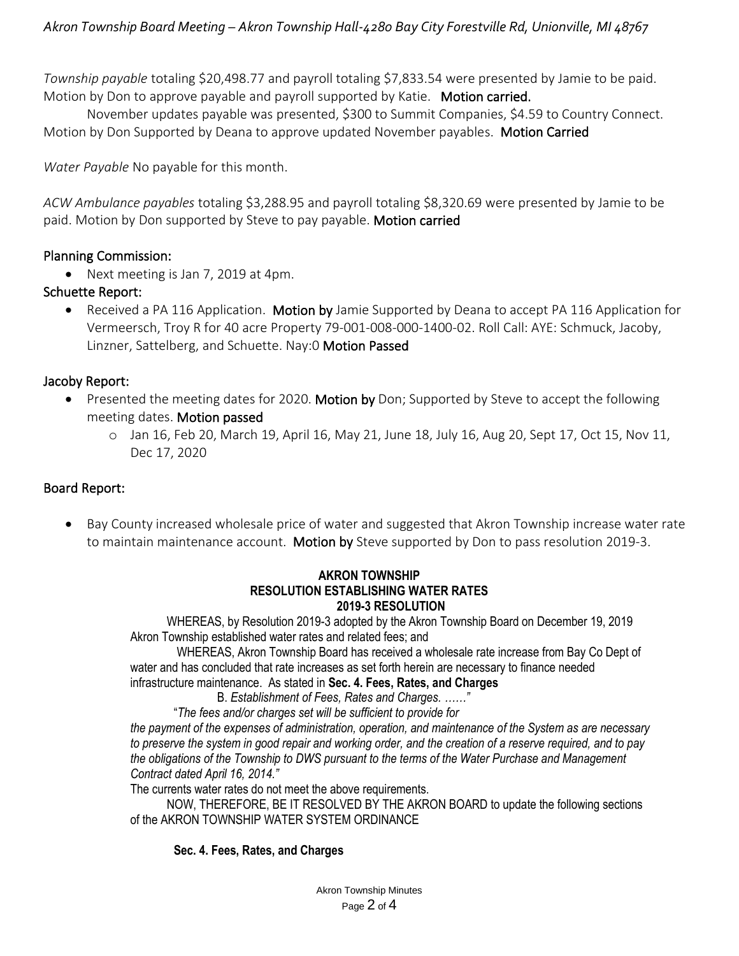*Township payable* totaling \$20,498.77 and payroll totaling \$7,833.54 were presented by Jamie to be paid. Motion by Don to approve payable and payroll supported by Katie. Motion carried.

November updates payable was presented, \$300 to Summit Companies, \$4.59 to Country Connect. Motion by Don Supported by Deana to approve updated November payables. Motion Carried

*Water Payable* No payable for this month.

*ACW Ambulance payables* totaling \$3,288.95 and payroll totaling \$8,320.69 were presented by Jamie to be paid. Motion by Don supported by Steve to pay payable. Motion carried

# Planning Commission:

• Next meeting is Jan 7, 2019 at 4pm.

# Schuette Report:

• Received a PA 116 Application. Motion by Jamie Supported by Deana to accept PA 116 Application for Vermeersch, Troy R for 40 acre Property 79-001-008-000-1400-02. Roll Call: AYE: Schmuck, Jacoby, Linzner, Sattelberg, and Schuette. Nay:0 Motion Passed

# Jacoby Report:

- Presented the meeting dates for 2020. Motion by Don; Supported by Steve to accept the following meeting dates. Motion passed
	- o Jan 16, Feb 20, March 19, April 16, May 21, June 18, July 16, Aug 20, Sept 17, Oct 15, Nov 11, Dec 17, 2020

# Board Report:

• Bay County increased wholesale price of water and suggested that Akron Township increase water rate to maintain maintenance account. Motion by Steve supported by Don to pass resolution 2019-3.

#### **AKRON TOWNSHIP RESOLUTION ESTABLISHING WATER RATES 2019-3 RESOLUTION**

 WHEREAS, by Resolution 2019-3 adopted by the Akron Township Board on December 19, 2019 Akron Township established water rates and related fees; and

WHEREAS, Akron Township Board has received a wholesale rate increase from Bay Co Dept of water and has concluded that rate increases as set forth herein are necessary to finance needed infrastructure maintenance. As stated in **Sec. 4. Fees, Rates, and Charges**

B. *Establishment of Fees, Rates and Charges. ……"*

"*The fees and/or charges set will be sufficient to provide for*

*the payment of the expenses of administration, operation, and maintenance of the System as are necessary to preserve the system in good repair and working order, and the creation of a reserve required, and to pay the obligations of the Township to DWS pursuant to the terms of the Water Purchase and Management Contract dated April 16, 2014."*

The currents water rates do not meet the above requirements.

 NOW, THEREFORE, BE IT RESOLVED BY THE AKRON BOARD to update the following sections of the AKRON TOWNSHIP WATER SYSTEM ORDINANCE

### **Sec. 4. Fees, Rates, and Charges**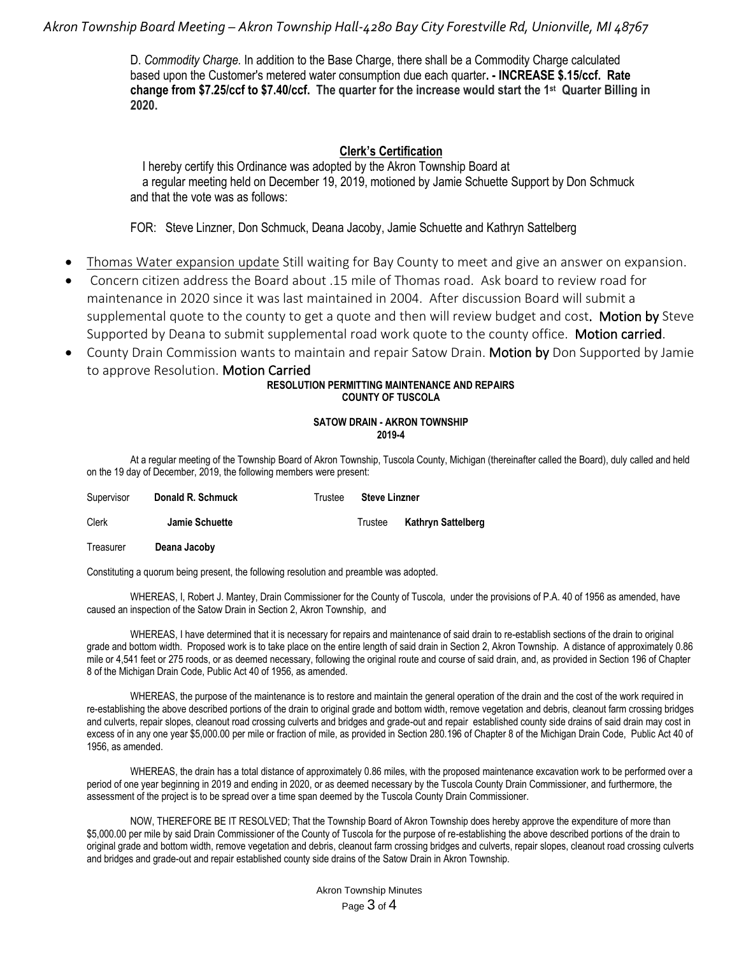# *Akron Township Board Meeting – Akron Township Hall-4280 Bay City Forestville Rd, Unionville, MI 48767*

D. *Commodity Charge.* In addition to the Base Charge, there shall be a Commodity Charge calculated based upon the Customer's metered water consumption due each quarter**. - INCREASE \$.15/ccf. Rate change from \$7.25/ccf to \$7.40/ccf. The quarter for the increase would start the 1st Quarter Billing in 2020.**

### **Clerk's Certification**

 I hereby certify this Ordinance was adopted by the Akron Township Board at a regular meeting held on December 19, 2019, motioned by Jamie Schuette Support by Don Schmuck and that the vote was as follows:

FOR: Steve Linzner, Don Schmuck, Deana Jacoby, Jamie Schuette and Kathryn Sattelberg

- Thomas Water expansion update Still waiting for Bay County to meet and give an answer on expansion.
- Concern citizen address the Board about .15 mile of Thomas road. Ask board to review road for maintenance in 2020 since it was last maintained in 2004. After discussion Board will submit a supplemental quote to the county to get a quote and then will review budget and cost. Motion by Steve Supported by Deana to submit supplemental road work quote to the county office. Motion carried.
- County Drain Commission wants to maintain and repair Satow Drain. Motion by Don Supported by Jamie to approve Resolution. Motion Carried

#### **RESOLUTION PERMITTING MAINTENANCE AND REPAIRS COUNTY OF TUSCOLA**

#### **SATOW DRAIN - AKRON TOWNSHIP 2019-4**

At a regular meeting of the Township Board of Akron Township, Tuscola County, Michigan (thereinafter called the Board), duly called and held on the 19 day of December, 2019, the following members were present:

| Supervisor | Donald R. Schmuck | Trustee | <b>Steve Linzner</b> |                    |
|------------|-------------------|---------|----------------------|--------------------|
| Clerk      | Jamie Schuette    |         | Trustee              | Kathryn Sattelberg |
| Treasurer  | Deana Jacoby      |         |                      |                    |

Constituting a quorum being present, the following resolution and preamble was adopted.

WHEREAS, I, Robert J. Mantey, Drain Commissioner for the County of Tuscola, under the provisions of P.A. 40 of 1956 as amended, have caused an inspection of the Satow Drain in Section 2, Akron Township, and

WHEREAS, I have determined that it is necessary for repairs and maintenance of said drain to re-establish sections of the drain to original grade and bottom width. Proposed work is to take place on the entire length of said drain in Section 2, Akron Township. A distance of approximately 0.86 mile or 4,541 feet or 275 roods, or as deemed necessary, following the original route and course of said drain, and, as provided in Section 196 of Chapter 8 of the Michigan Drain Code, Public Act 40 of 1956, as amended.

WHEREAS, the purpose of the maintenance is to restore and maintain the general operation of the drain and the cost of the work required in re-establishing the above described portions of the drain to original grade and bottom width, remove vegetation and debris, cleanout farm crossing bridges and culverts, repair slopes, cleanout road crossing culverts and bridges and grade-out and repair established county side drains of said drain may cost in excess of in any one year \$5,000.00 per mile or fraction of mile, as provided in Section 280.196 of Chapter 8 of the Michigan Drain Code, Public Act 40 of 1956, as amended.

WHEREAS, the drain has a total distance of approximately 0.86 miles, with the proposed maintenance excavation work to be performed over a period of one year beginning in 2019 and ending in 2020, or as deemed necessary by the Tuscola County Drain Commissioner, and furthermore, the assessment of the project is to be spread over a time span deemed by the Tuscola County Drain Commissioner.

NOW, THEREFORE BE IT RESOLVED; That the Township Board of Akron Township does hereby approve the expenditure of more than \$5,000.00 per mile by said Drain Commissioner of the County of Tuscola for the purpose of re-establishing the above described portions of the drain to original grade and bottom width, remove vegetation and debris, cleanout farm crossing bridges and culverts, repair slopes, cleanout road crossing culverts and bridges and grade-out and repair established county side drains of the Satow Drain in Akron Township.